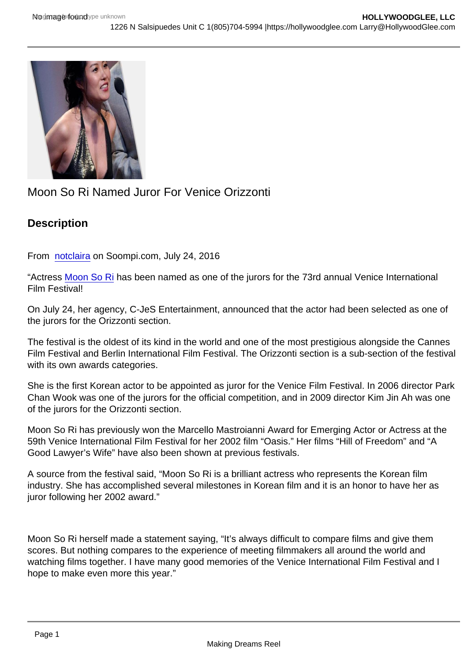## Moon So Ri Named Juror For Venice Orizzonti

**Description** 

From [notclaira](http://www.soompi.com/author/notclaira_stv/) on Soompi.com, July 24, 2016

"Actress [Moon So Ri](https://www.viki.com/celebrities/13682pr?utm_source=soompi&utm_medium=soompi_news&utm_campaign=soompi_link&utm_content=moon-sori-named-first-korean-actor-judge-venice-international-film-festival) has been named as one of the jurors for the 73rd annual Venice International Film Festival!

On July 24, her agency, C-JeS Entertainment, announced that the actor had been selected as one of the jurors for the Orizzonti section.

The festival is the oldest of its kind in the world and one of the most prestigious alongside the Cannes Film Festival and Berlin International Film Festival. The Orizzonti section is a sub-section of the festival with its own awards categories.

She is the first Korean actor to be appointed as juror for the Venice Film Festival. In 2006 director Park Chan Wook was one of the jurors for the official competition, and in 2009 director Kim Jin Ah was one of the jurors for the Orizzonti section.

Moon So Ri has previously won the Marcello Mastroianni Award for Emerging Actor or Actress at the 59th Venice International Film Festival for her 2002 film "Oasis." Her films "Hill of Freedom" and "A Good Lawyer's Wife" have also been shown at previous festivals.

A source from the festival said, "Moon So Ri is a brilliant actress who represents the Korean film industry. She has accomplished several milestones in Korean film and it is an honor to have her as juror following her 2002 award."

Moon So Ri herself made a statement saying, "It's always difficult to compare films and give them scores. But nothing compares to the experience of meeting filmmakers all around the world and watching films together. I have many good memories of the Venice International Film Festival and I hope to make even more this year."